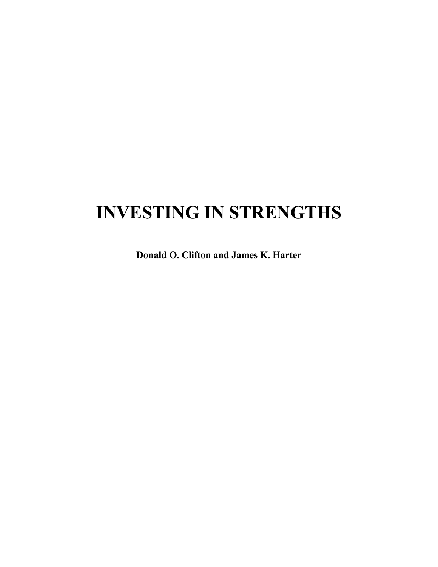# **INVESTING IN STRENGTHS**

**Donald O. Clifton and James K. Harter**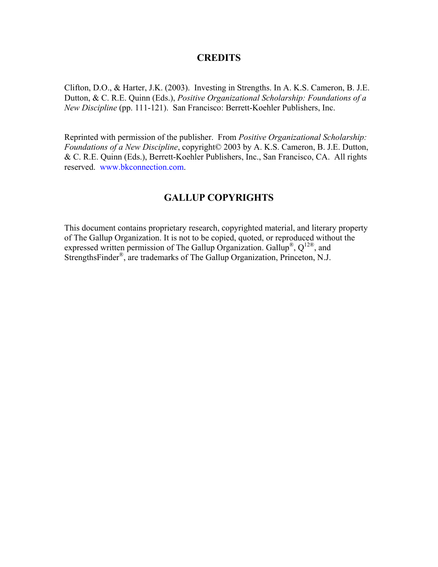### **CREDITS**

Clifton, D.O., & Harter, J.K. (2003). Investing in Strengths. In A. K.S. Cameron, B. J.E. Dutton, & C. R.E. Quinn (Eds.), *Positive Organizational Scholarship: Foundations of a New Discipline* (pp. 111-121). San Francisco: Berrett-Koehler Publishers, Inc.

Reprinted with permission of the publisher. From *Positive Organizational Scholarship: Foundations of a New Discipline*, copyright© 2003 by A. K.S. Cameron, B. J.E. Dutton, & C. R.E. Quinn (Eds.), Berrett-Koehler Publishers, Inc., San Francisco, CA. All rights reserved. [www.bkconnection.com.](http://www.bkconnection.com/)

# **GALLUP COPYRIGHTS**

This document contains proprietary research, copyrighted material, and literary property of The Gallup Organization. It is not to be copied, quoted, or reproduced without the expressed written permission of The Gallup Organization. Gallup<sup>®</sup>,  $Q^{12}$ <sup>®</sup>, and StrengthsFinder®, are trademarks of The Gallup Organization, Princeton, N.J.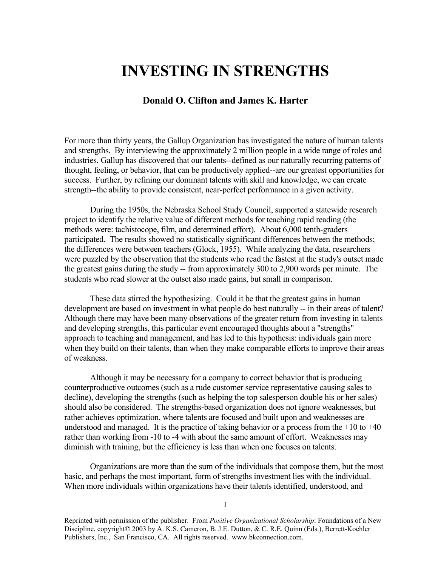# **INVESTING IN STRENGTHS**

## **Donald O. Clifton and James K. Harter**

For more than thirty years, the Gallup Organization has investigated the nature of human talents and strengths. By interviewing the approximately 2 million people in a wide range of roles and industries, Gallup has discovered that our talents--defined as our naturally recurring patterns of thought, feeling, or behavior, that can be productively applied--are our greatest opportunities for success. Further, by refining our dominant talents with skill and knowledge, we can create strength--the ability to provide consistent, near-perfect performance in a given activity.

During the 1950s, the Nebraska School Study Council, supported a statewide research project to identify the relative value of different methods for teaching rapid reading (the methods were: tachistocope, film, and determined effort). About 6,000 tenth-graders participated. The results showed no statistically significant differences between the methods; the differences were between teachers (Glock, 1955). While analyzing the data, researchers were puzzled by the observation that the students who read the fastest at the study's outset made the greatest gains during the study -- from approximately 300 to 2,900 words per minute. The students who read slower at the outset also made gains, but small in comparison.

These data stirred the hypothesizing. Could it be that the greatest gains in human development are based on investment in what people do best naturally -- in their areas of talent? Although there may have been many observations of the greater return from investing in talents and developing strengths, this particular event encouraged thoughts about a "strengths" approach to teaching and management, and has led to this hypothesis: individuals gain more when they build on their talents, than when they make comparable efforts to improve their areas of weakness.

Although it may be necessary for a company to correct behavior that is producing counterproductive outcomes (such as a rude customer service representative causing sales to decline), developing the strengths (such as helping the top salesperson double his or her sales) should also be considered. The strengths-based organization does not ignore weaknesses, but rather achieves optimization, where talents are focused and built upon and weaknesses are understood and managed. It is the practice of taking behavior or a process from the  $+10$  to  $+40$ rather than working from -10 to -4 with about the same amount of effort. Weaknesses may diminish with training, but the efficiency is less than when one focuses on talents.

Organizations are more than the sum of the individuals that compose them, but the most basic, and perhaps the most important, form of strengths investment lies with the individual. When more individuals within organizations have their talents identified, understood, and

Reprinted with permission of the publisher. From *Positive Organizational Scholarship*: Foundations of a New Discipline, copyright© 2003 by A. K.S. Cameron, B. J.E. Dutton, & C. R.E. Quinn (Eds.), Berrett-Koehler Publishers, Inc., San Francisco, CA. All rights reserved. www.bkconnection.com.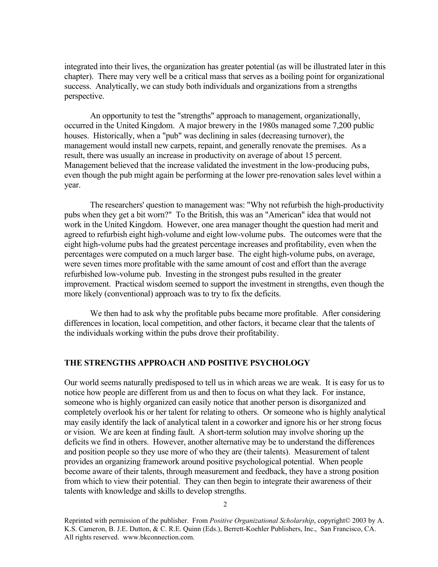integrated into their lives, the organization has greater potential (as will be illustrated later in this chapter). There may very well be a critical mass that serves as a boiling point for organizational success. Analytically, we can study both individuals and organizations from a strengths perspective.

An opportunity to test the "strengths" approach to management, organizationally, occurred in the United Kingdom. A major brewery in the 1980s managed some 7,200 public houses. Historically, when a "pub" was declining in sales (decreasing turnover), the management would install new carpets, repaint, and generally renovate the premises. As a result, there was usually an increase in productivity on average of about 15 percent. Management believed that the increase validated the investment in the low-producing pubs, even though the pub might again be performing at the lower pre-renovation sales level within a year.

The researchers' question to management was: "Why not refurbish the high-productivity pubs when they get a bit worn?" To the British, this was an "American" idea that would not work in the United Kingdom. However, one area manager thought the question had merit and agreed to refurbish eight high-volume and eight low-volume pubs. The outcomes were that the eight high-volume pubs had the greatest percentage increases and profitability, even when the percentages were computed on a much larger base. The eight high-volume pubs, on average, were seven times more profitable with the same amount of cost and effort than the average refurbished low-volume pub. Investing in the strongest pubs resulted in the greater improvement. Practical wisdom seemed to support the investment in strengths, even though the more likely (conventional) approach was to try to fix the deficits.

We then had to ask why the profitable pubs became more profitable. After considering differences in location, local competition, and other factors, it became clear that the talents of the individuals working within the pubs drove their profitability.

#### **THE STRENGTHS APPROACH AND POSITIVE PSYCHOLOGY**

Our world seems naturally predisposed to tell us in which areas we are weak. It is easy for us to notice how people are different from us and then to focus on what they lack. For instance, someone who is highly organized can easily notice that another person is disorganized and completely overlook his or her talent for relating to others. Or someone who is highly analytical may easily identify the lack of analytical talent in a coworker and ignore his or her strong focus or vision. We are keen at finding fault. A short-term solution may involve shoring up the deficits we find in others. However, another alternative may be to understand the differences and position people so they use more of who they are (their talents). Measurement of talent provides an organizing framework around positive psychological potential. When people become aware of their talents, through measurement and feedback, they have a strong position from which to view their potential. They can then begin to integrate their awareness of their talents with knowledge and skills to develop strengths.

Reprinted with permission of the publisher. From *Positive Organizational Scholarship*, copyright© 2003 by A. K.S. Cameron, B. J.E. Dutton, & C. R.E. Quinn (Eds.), Berrett-Koehler Publishers, Inc., San Francisco, CA. All rights reserved. www.bkconnection.com.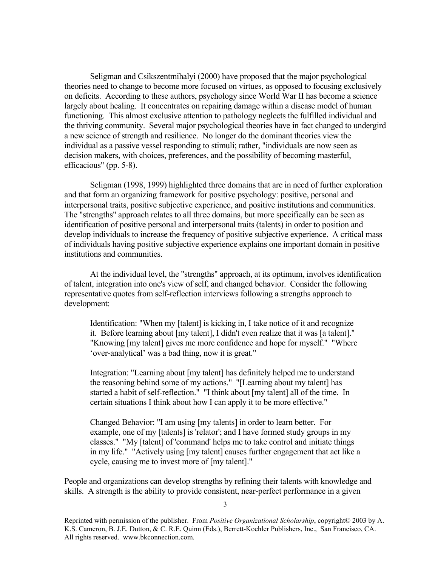Seligman and Csikszentmihalyi (2000) have proposed that the major psychological theories need to change to become more focused on virtues, as opposed to focusing exclusively on deficits. According to these authors, psychology since World War II has become a science largely about healing. It concentrates on repairing damage within a disease model of human functioning. This almost exclusive attention to pathology neglects the fulfilled individual and the thriving community. Several major psychological theories have in fact changed to undergird a new science of strength and resilience. No longer do the dominant theories view the individual as a passive vessel responding to stimuli; rather, "individuals are now seen as decision makers, with choices, preferences, and the possibility of becoming masterful, efficacious" (pp. 5-8).

Seligman (1998, 1999) highlighted three domains that are in need of further exploration and that form an organizing framework for positive psychology: positive, personal and interpersonal traits, positive subjective experience, and positive institutions and communities. The "strengths" approach relates to all three domains, but more specifically can be seen as identification of positive personal and interpersonal traits (talents) in order to position and develop individuals to increase the frequency of positive subjective experience. A critical mass of individuals having positive subjective experience explains one important domain in positive institutions and communities.

At the individual level, the "strengths" approach, at its optimum, involves identification of talent, integration into one's view of self, and changed behavior. Consider the following representative quotes from self-reflection interviews following a strengths approach to development:

Identification: "When my [talent] is kicking in, I take notice of it and recognize it. Before learning about [my talent], I didn't even realize that it was [a talent]." "Knowing [my talent] gives me more confidence and hope for myself." "Where 'over-analytical' was a bad thing, now it is great."

Integration: "Learning about [my talent] has definitely helped me to understand the reasoning behind some of my actions." "[Learning about my talent] has started a habit of self-reflection." "I think about [my talent] all of the time. In certain situations I think about how I can apply it to be more effective."

Changed Behavior: "I am using [my talents] in order to learn better. For example, one of my [talents] is 'relator'; and I have formed study groups in my classes." "My [talent] of 'command' helps me to take control and initiate things in my life." "Actively using [my talent] causes further engagement that act like a cycle, causing me to invest more of [my talent]."

People and organizations can develop strengths by refining their talents with knowledge and skills. A strength is the ability to provide consistent, near-perfect performance in a given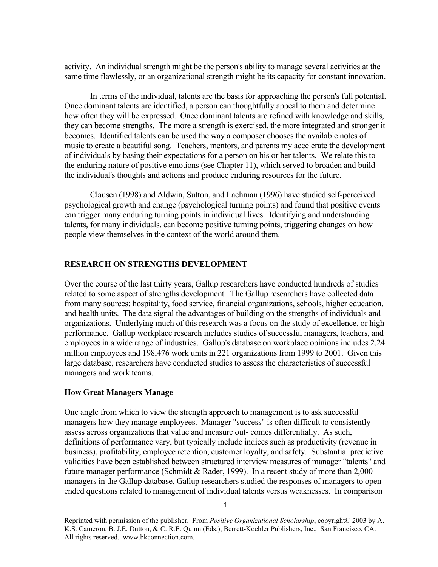activity. An individual strength might be the person's ability to manage several activities at the same time flawlessly, or an organizational strength might be its capacity for constant innovation.

In terms of the individual, talents are the basis for approaching the person's full potential. Once dominant talents are identified, a person can thoughtfully appeal to them and determine how often they will be expressed. Once dominant talents are refined with knowledge and skills, they can become strengths. The more a strength is exercised, the more integrated and stronger it becomes. Identified talents can be used the way a composer chooses the available notes of music to create a beautiful song. Teachers, mentors, and parents my accelerate the development of individuals by basing their expectations for a person on his or her talents. We relate this to the enduring nature of positive emotions (see Chapter 11), which served to broaden and build the individual's thoughts and actions and produce enduring resources for the future.

Clausen (1998) and Aldwin, Sutton, and Lachman (1996) have studied self-perceived psychological growth and change (psychological turning points) and found that positive events can trigger many enduring turning points in individual lives. Identifying and understanding talents, for many individuals, can become positive turning points, triggering changes on how people view themselves in the context of the world around them.

#### **RESEARCH ON STRENGTHS DEVELOPMENT**

Over the course of the last thirty years, Gallup researchers have conducted hundreds of studies related to some aspect of strengths development. The Gallup researchers have collected data from many sources: hospitality, food service, financial organizations, schools, higher education, and health units. The data signal the advantages of building on the strengths of individuals and organizations. Underlying much of this research was a focus on the study of excellence, or high performance. Gallup workplace research includes studies of successful managers, teachers, and employees in a wide range of industries. Gallup's database on workplace opinions includes 2.24 million employees and 198,476 work units in 221 organizations from 1999 to 2001. Given this large database, researchers have conducted studies to assess the characteristics of successful managers and work teams.

#### **How Great Managers Manage**

One angle from which to view the strength approach to management is to ask successful managers how they manage employees. Manager "success" is often difficult to consistently assess across organizations that value and measure out- comes differentially. As such, definitions of performance vary, but typically include indices such as productivity (revenue in business), profitability, employee retention, customer loyalty, and safety. Substantial predictive validities have been established between structured interview measures of manager "talents" and future manager performance (Schmidt & Rader, 1999). In a recent study of more than 2,000 managers in the Gallup database, Gallup researchers studied the responses of managers to openended questions related to management of individual talents versus weaknesses. In comparison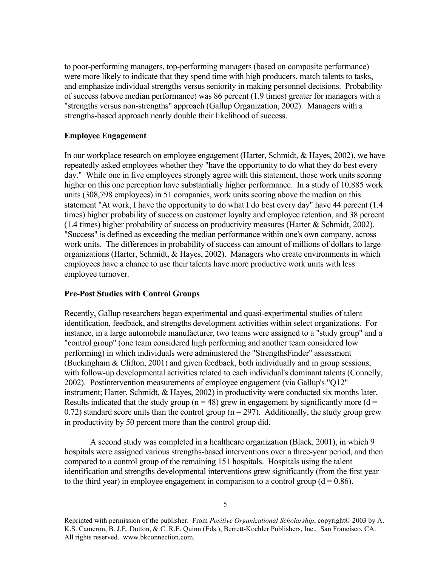to poor-performing managers, top-performing managers (based on composite performance) were more likely to indicate that they spend time with high producers, match talents to tasks, and emphasize individual strengths versus seniority in making personnel decisions. Probability of success (above median performance) was 86 percent (1.9 times) greater for managers with a "strengths versus non-strengths" approach (Gallup Organization, 2002). Managers with a strengths-based approach nearly double their likelihood of success.

#### **Employee Engagement**

In our workplace research on employee engagement (Harter, Schmidt, & Hayes, 2002), we have repeatedly asked employees whether they "have the opportunity to do what they do best every day." While one in five employees strongly agree with this statement, those work units scoring higher on this one perception have substantially higher performance. In a study of 10,885 work units (308,798 employees) in 51 companies, work units scoring above the median on this statement "At work, I have the opportunity to do what I do best every day" have 44 percent (1.4 times) higher probability of success on customer loyalty and employee retention, and 38 percent (1.4 times) higher probability of success on productivity measures (Harter & Schmidt, 2002). "Success" is defined as exceeding the median performance within one's own company, across work units. The differences in probability of success can amount of millions of dollars to large organizations (Harter, Schmidt, & Hayes, 2002). Managers who create environments in which employees have a chance to use their talents have more productive work units with less employee turnover.

#### **Pre-Post Studies with Control Groups**

Recently, Gallup researchers began experimental and quasi-experimental studies of talent identification, feedback, and strengths development activities within select organizations. For instance, in a large automobile manufacturer, two teams were assigned to a "study group" and a "control group" (one team considered high performing and another team considered low performing) in which individuals were administered the "StrengthsFinder" assessment (Buckingham & Clifton, 2001) and given feedback, both individually and in group sessions, with follow-up developmental activities related to each individual's dominant talents (Connelly, 2002). Postintervention measurements of employee engagement (via Gallup's "Q12" instrument; Harter, Schmidt, & Hayes, 2002) in productivity were conducted six months later. Results indicated that the study group ( $n = 48$ ) grew in engagement by significantly more ( $d =$ 0.72) standard score units than the control group ( $n = 297$ ). Additionally, the study group grew in productivity by 50 percent more than the control group did.

A second study was completed in a healthcare organization (Black, 2001), in which 9 hospitals were assigned various strengths-based interventions over a three-year period, and then compared to a control group of the remaining 151 hospitals. Hospitals using the talent identification and strengths developmental interventions grew significantly (from the first year to the third year) in employee engagement in comparison to a control group  $(d = 0.86)$ .

Reprinted with permission of the publisher. From *Positive Organizational Scholarship*, copyright© 2003 by A. K.S. Cameron, B. J.E. Dutton, & C. R.E. Quinn (Eds.), Berrett-Koehler Publishers, Inc., San Francisco, CA. All rights reserved. www.bkconnection.com.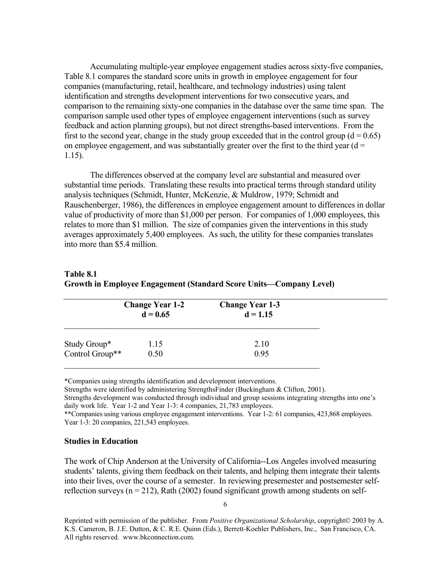Accumulating multiple-year employee engagement studies across sixty-five companies, Table 8.1 compares the standard score units in growth in employee engagement for four companies (manufacturing, retail, healthcare, and technology industries) using talent identification and strengths development interventions for two consecutive years, and comparison to the remaining sixty-one companies in the database over the same time span. The comparison sample used other types of employee engagement interventions (such as survey feedback and action planning groups), but not direct strengths-based interventions. From the first to the second year, change in the study group exceeded that in the control group  $(d = 0.65)$ on employee engagement, and was substantially greater over the first to the third year  $(d =$ 1.15).

The differences observed at the company level are substantial and measured over substantial time periods. Translating these results into practical terms through standard utility analysis techniques (Schmidt, Hunter, McKenzie, & Muldrow, 1979; Schmidt and Rauschenberger, 1986), the differences in employee engagement amount to differences in dollar value of productivity of more than \$1,000 per person. For companies of 1,000 employees, this relates to more than \$1 million. The size of companies given the interventions in this study averages approximately 5,400 employees. As such, the utility for these companies translates into more than \$5.4 million.

| Table 8.1                                                          |  |
|--------------------------------------------------------------------|--|
| Growth in Employee Engagement (Standard Score Units—Company Level) |  |

|                 | <b>Change Year 1-2</b><br>$d = 0.65$ | <b>Change Year 1-3</b><br>$d = 1.15$ |  |
|-----------------|--------------------------------------|--------------------------------------|--|
| Study Group*    | 1.15                                 | 2.10                                 |  |
| Control Group** | 0.50                                 | 0.95                                 |  |

\*Companies using strengths identification and development interventions.

Strengths were identified by administering StrengthsFinder (Buckingham & Clifton, 2001).

Strengths development was conducted through individual and group sessions integrating strengths into one's daily work life. Year 1-2 and Year 1-3: 4 companies, 21,783 employees.

\*\*Companies using various employee engagement interventions. Year 1-2: 61 companies, 423,868 employees. Year 1-3: 20 companies, 221,543 employees.

#### **Studies in Education**

The work of Chip Anderson at the University of California--Los Angeles involved measuring students' talents, giving them feedback on their talents, and helping them integrate their talents into their lives, over the course of a semester. In reviewing presemester and postsemester selfreflection surveys ( $n = 212$ ), Rath (2002) found significant growth among students on self-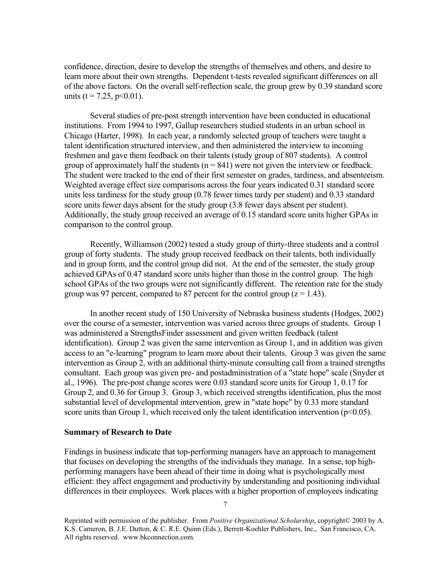confidence, direction, desire to develop the strengths of themselves and others, and desire to learn more about their own strengths. Dependent t-tests revealed significant differences on all of the above factors. On the overall self-reflection scale, the group grew by 0.39 standard score units ( $t = 7.25$ ,  $p < 0.01$ ).

Several studies of pre-post strength intervention have been conducted in educational institutions. From 1994 to 1997, Gallup researchers studied students in an urban school in Chicago (Harter, 1998). In each year, a randomly selected group of teachers were taught a talent identification structured interview, and then administered the interview to incoming freshmen and gave them feedback on their talents (study group of 807 students). A control group of approximately half the students  $(n = 841)$  were not given the interview or feedback. The student were tracked to the end of their first semester on grades, tardiness, and absenteeism. Weighted average effect size comparisons across the four years indicated 0.31 standard score units less tardiness for the study group (0.78 fewer times tardy per student) and 0.33 standard score units fewer days absent for the study group (3.8 fewer days absent per student). Additionally, the study group received an average of 0.15 standard score units higher GPAs in comparison to the control group.

Recently, Williamson (2002) tested a study group of thirty-three students and a control group of forty students. The study group received feedback on their talents, both individually and in group form, and the control group did not. At the end of the semester, the study group achieved GPAs of 0.47 standard score units higher than those in the control group. The high school GPAs of the two groups were not significantly different. The retention rate for the study group was 97 percent, compared to 87 percent for the control group ( $z = 1.43$ ).

In another recent study of 150 University of Nebraska business students (Hodges, 2002) over the course of a semester, intervention was varied across three groups of students. Group 1 was administered a StrengthsFinder assessment and given written feedback (talent identification). Group 2 was given the same intervention as Group 1, and in addition was given access to an "e-learning" program to learn more about their talents. Group 3 was given the same intervention as Group 2, with an additional thirty-minute consulting call from a trained strengths consultant. Each group was given pre- and postadministration of a "state hope" scale (Snyder et al., 1996). The pre-post change scores were 0.03 standard score units for Group 1, 0.17 for Group 2, and 0.36 for Group 3. Group 3, which received strengths identification, plus the most substantial level of developmental intervention, grew in "state hope" by 0.33 more standard score units than Group 1, which received only the talent identification intervention ( $p<0.05$ ).

#### **Summary of Research to Date**

Findings in business indicate that top-performing managers have an approach to management that focuses on developing the strengths of the individuals they manage. In a sense, top highperforming managers have been ahead of their time in doing what is psychologically most efficient: they affect engagement and productivity by understanding and positioning individual differences in their employees. Work places with a higher proportion of employees indicating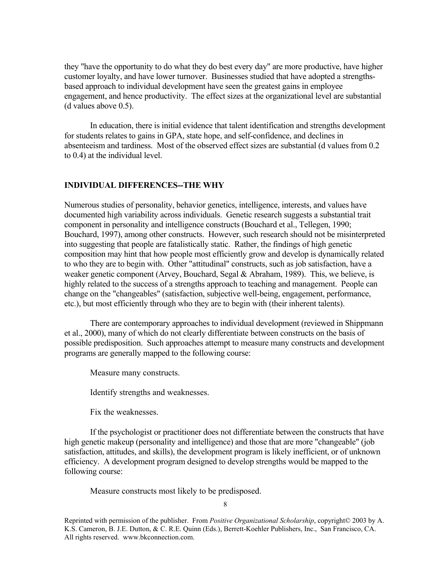they "have the opportunity to do what they do best every day" are more productive, have higher customer loyalty, and have lower turnover. Businesses studied that have adopted a strengthsbased approach to individual development have seen the greatest gains in employee engagement, and hence productivity. The effect sizes at the organizational level are substantial (d values above 0.5).

In education, there is initial evidence that talent identification and strengths development for students relates to gains in GPA, state hope, and self-confidence, and declines in absenteeism and tardiness. Most of the observed effect sizes are substantial (d values from 0.2 to 0.4) at the individual level.

#### **INDIVIDUAL DIFFERENCES--THE WHY**

Numerous studies of personality, behavior genetics, intelligence, interests, and values have documented high variability across individuals. Genetic research suggests a substantial trait component in personality and intelligence constructs (Bouchard et al., Tellegen, 1990; Bouchard, 1997), among other constructs. However, such research should not be misinterpreted into suggesting that people are fatalistically static. Rather, the findings of high genetic composition may hint that how people most efficiently grow and develop is dynamically related to who they are to begin with. Other "attitudinal" constructs, such as job satisfaction, have a weaker genetic component (Arvey, Bouchard, Segal & Abraham, 1989). This, we believe, is highly related to the success of a strengths approach to teaching and management. People can change on the "changeables" (satisfaction, subjective well-being, engagement, performance, etc.), but most efficiently through who they are to begin with (their inherent talents).

There are contemporary approaches to individual development (reviewed in Shippmann et al., 2000), many of which do not clearly differentiate between constructs on the basis of possible predisposition. Such approaches attempt to measure many constructs and development programs are generally mapped to the following course:

Measure many constructs.

Identify strengths and weaknesses.

Fix the weaknesses.

If the psychologist or practitioner does not differentiate between the constructs that have high genetic makeup (personality and intelligence) and those that are more "changeable" (job satisfaction, attitudes, and skills), the development program is likely inefficient, or of unknown efficiency. A development program designed to develop strengths would be mapped to the following course:

Measure constructs most likely to be predisposed.

8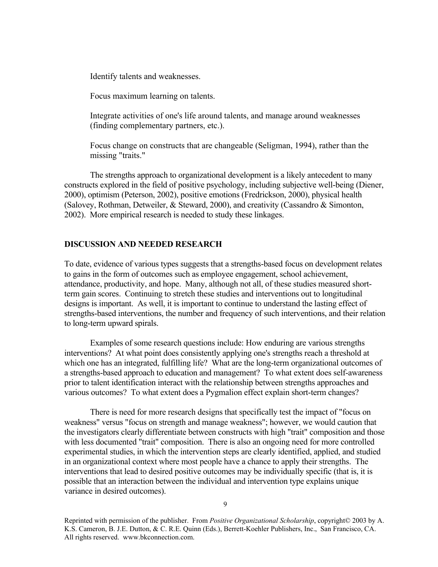Identify talents and weaknesses.

Focus maximum learning on talents.

Integrate activities of one's life around talents, and manage around weaknesses (finding complementary partners, etc.).

Focus change on constructs that are changeable (Seligman, 1994), rather than the missing "traits."

The strengths approach to organizational development is a likely antecedent to many constructs explored in the field of positive psychology, including subjective well-being (Diener, 2000), optimism (Peterson, 2002), positive emotions (Fredrickson, 2000), physical health (Salovey, Rothman, Detweiler, & Steward, 2000), and creativity (Cassandro & Simonton, 2002). More empirical research is needed to study these linkages.

#### **DISCUSSION AND NEEDED RESEARCH**

To date, evidence of various types suggests that a strengths-based focus on development relates to gains in the form of outcomes such as employee engagement, school achievement, attendance, productivity, and hope. Many, although not all, of these studies measured shortterm gain scores. Continuing to stretch these studies and interventions out to longitudinal designs is important. As well, it is important to continue to understand the lasting effect of strengths-based interventions, the number and frequency of such interventions, and their relation to long-term upward spirals.

Examples of some research questions include: How enduring are various strengths interventions? At what point does consistently applying one's strengths reach a threshold at which one has an integrated, fulfilling life? What are the long-term organizational outcomes of a strengths-based approach to education and management? To what extent does self-awareness prior to talent identification interact with the relationship between strengths approaches and various outcomes? To what extent does a Pygmalion effect explain short-term changes?

There is need for more research designs that specifically test the impact of "focus on weakness" versus "focus on strength and manage weakness"; however, we would caution that the investigators clearly differentiate between constructs with high "trait" composition and those with less documented "trait" composition. There is also an ongoing need for more controlled experimental studies, in which the intervention steps are clearly identified, applied, and studied in an organizational context where most people have a chance to apply their strengths. The interventions that lead to desired positive outcomes may be individually specific (that is, it is possible that an interaction between the individual and intervention type explains unique variance in desired outcomes).

Reprinted with permission of the publisher. From *Positive Organizational Scholarship*, copyright© 2003 by A. K.S. Cameron, B. J.E. Dutton, & C. R.E. Quinn (Eds.), Berrett-Koehler Publishers, Inc., San Francisco, CA. All rights reserved. www.bkconnection.com.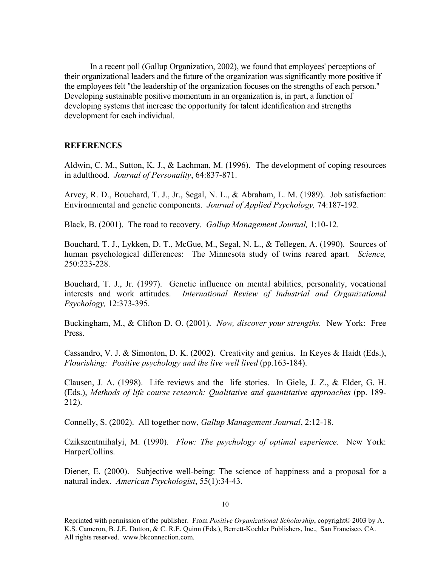In a recent poll (Gallup Organization, 2002), we found that employees' perceptions of their organizational leaders and the future of the organization was significantly more positive if the employees felt "the leadership of the organization focuses on the strengths of each person." Developing sustainable positive momentum in an organization is, in part, a function of developing systems that increase the opportunity for talent identification and strengths development for each individual.

#### **REFERENCES**

Aldwin, C. M., Sutton, K. J., & Lachman, M. (1996). The development of coping resources in adulthood. *Journal of Personality*, 64:837-871.

Arvey, R. D., Bouchard, T. J., Jr., Segal, N. L., & Abraham, L. M. (1989). Job satisfaction: Environmental and genetic components. *Journal of Applied Psychology,* 74:187-192.

Black, B. (2001). The road to recovery. *Gallup Management Journal,* 1:10-12.

Bouchard, T. J., Lykken, D. T., McGue, M., Segal, N. L., & Tellegen, A. (1990). Sources of human psychological differences: The Minnesota study of twins reared apart. *Science,* 250:223-228.

Bouchard, T. J., Jr. (1997). Genetic influence on mental abilities, personality, vocational interests and work attitudes. *International Review of Industrial and Organizational Psychology,* 12:373-395.

Buckingham, M., & Clifton D. O. (2001). *Now, discover your strengths.* New York: Free Press.

Cassandro, V. J. & Simonton, D. K. (2002). Creativity and genius. In Keyes & Haidt (Eds.), *Flourishing: Positive psychology and the live well lived* (pp.163-184).

Clausen, J. A. (1998). Life reviews and the life stories. In Giele, J. Z., & Elder, G. H. (Eds.), *Methods of life course research: Qualitative and quantitative approaches* (pp. 189- 212).

Connelly, S. (2002). All together now, *Gallup Management Journal*, 2:12-18.

Czikszentmihalyi, M. (1990). *Flow: The psychology of optimal experience.* New York: HarperCollins.

Diener, E. (2000). Subjective well-being: The science of happiness and a proposal for a natural index. *American Psychologist*, 55(1):34-43.

Reprinted with permission of the publisher. From *Positive Organizational Scholarship*, copyright© 2003 by A. K.S. Cameron, B. J.E. Dutton, & C. R.E. Quinn (Eds.), Berrett-Koehler Publishers, Inc., San Francisco, CA. All rights reserved. www.bkconnection.com.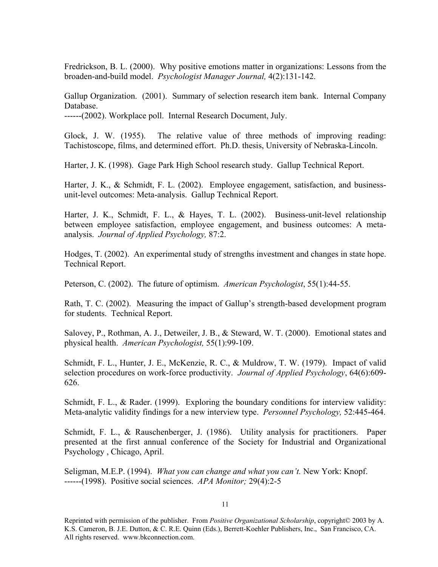Fredrickson, B. L. (2000). Why positive emotions matter in organizations: Lessons from the broaden-and-build model. *Psychologist Manager Journal,* 4(2):131-142.

Gallup Organization. (2001). Summary of selection research item bank. Internal Company Database.

------(2002). Workplace poll. Internal Research Document, July.

Glock, J. W. (1955). The relative value of three methods of improving reading: Tachistoscope, films, and determined effort. Ph.D. thesis, University of Nebraska-Lincoln.

Harter, J. K. (1998). Gage Park High School research study. Gallup Technical Report.

Harter, J. K., & Schmidt, F. L. (2002). Employee engagement, satisfaction, and businessunit-level outcomes: Meta-analysis. Gallup Technical Report.

Harter, J. K., Schmidt, F. L., & Hayes, T. L. (2002). Business-unit-level relationship between employee satisfaction, employee engagement, and business outcomes: A metaanalysis. *Journal of Applied Psychology,* 87:2.

Hodges, T. (2002). An experimental study of strengths investment and changes in state hope. Technical Report.

Peterson, C. (2002). The future of optimism. *American Psychologist*, 55(1):44-55.

Rath, T. C. (2002). Measuring the impact of Gallup's strength-based development program for students. Technical Report.

Salovey, P., Rothman, A. J., Detweiler, J. B., & Steward, W. T. (2000). Emotional states and physical health. *American Psychologist,* 55(1):99-109.

Schmidt, F. L., Hunter, J. E., McKenzie, R. C., & Muldrow, T. W. (1979). Impact of valid selection procedures on work-force productivity. *Journal of Applied Psychology*, 64(6):609- 626.

Schmidt, F. L., & Rader. (1999). Exploring the boundary conditions for interview validity: Meta-analytic validity findings for a new interview type. *Personnel Psychology,* 52:445-464.

Schmidt, F. L., & Rauschenberger, J. (1986). Utility analysis for practitioners. Paper presented at the first annual conference of the Society for Industrial and Organizational Psychology , Chicago, April.

Seligman, M.E.P. (1994). *What you can change and what you can't.* New York: Knopf. ------(1998). Positive social sciences. *APA Monitor;* 29(4):2-5

<sup>11</sup>

Reprinted with permission of the publisher. From *Positive Organizational Scholarship*, copyright© 2003 by A. K.S. Cameron, B. J.E. Dutton, & C. R.E. Quinn (Eds.), Berrett-Koehler Publishers, Inc., San Francisco, CA. All rights reserved. www.bkconnection.com.